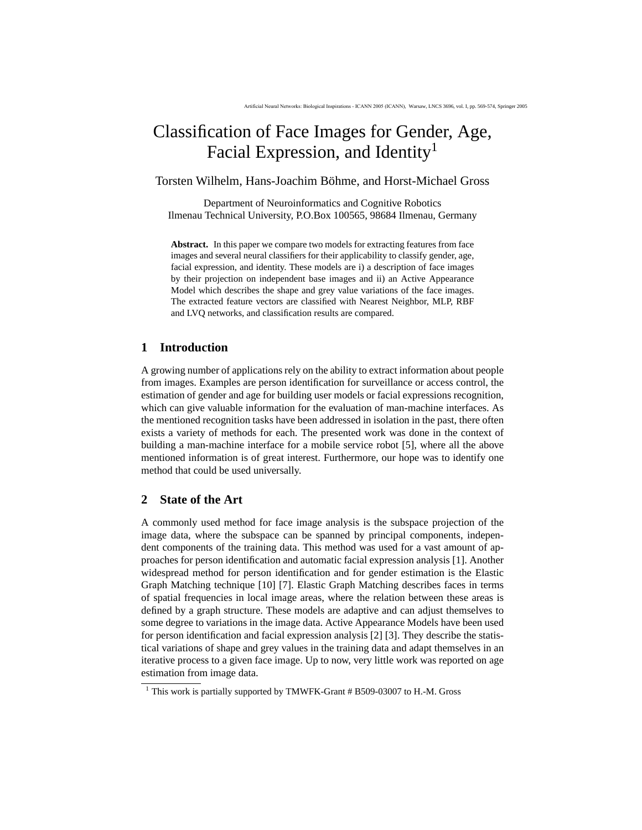# Classification of Face Images for Gender, Age, Facial Expression, and Identity<sup>1</sup>

Torsten Wilhelm, Hans-Joachim Böhme, and Horst-Michael Gross

Department of Neuroinformatics and Cognitive Robotics Ilmenau Technical University, P.O.Box 100565, 98684 Ilmenau, Germany

**Abstract.** In this paper we compare two models for extracting features from face images and several neural classifiers for their applicability to classify gender, age, facial expression, and identity. These models are i) a description of face images by their projection on independent base images and ii) an Active Appearance Model which describes the shape and grey value variations of the face images. The extracted feature vectors are classified with Nearest Neighbor, MLP, RBF and LVQ networks, and classification results are compared.

# **1 Introduction**

A growing number of applications rely on the ability to extract information about people from images. Examples are person identification for surveillance or access control, the estimation of gender and age for building user models or facial expressions recognition, which can give valuable information for the evaluation of man-machine interfaces. As the mentioned recognition tasks have been addressed in isolation in the past, there often exists a variety of methods for each. The presented work was done in the context of building a man-machine interface for a mobile service robot [5], where all the above mentioned information is of great interest. Furthermore, our hope was to identify one method that could be used universally.

## **2 State of the Art**

A commonly used method for face image analysis is the subspace projection of the image data, where the subspace can be spanned by principal components, independent components of the training data. This method was used for a vast amount of approaches for person identification and automatic facial expression analysis [1]. Another widespread method for person identification and for gender estimation is the Elastic Graph Matching technique [10] [7]. Elastic Graph Matching describes faces in terms of spatial frequencies in local image areas, where the relation between these areas is defined by a graph structure. These models are adaptive and can adjust themselves to some degree to variations in the image data. Active Appearance Models have been used for person identification and facial expression analysis [2] [3]. They describe the statistical variations of shape and grey values in the training data and adapt themselves in an iterative process to a given face image. Up to now, very little work was reported on age estimation from image data.

 $1$  This work is partially supported by TMWFK-Grant # B509-03007 to H.-M. Gross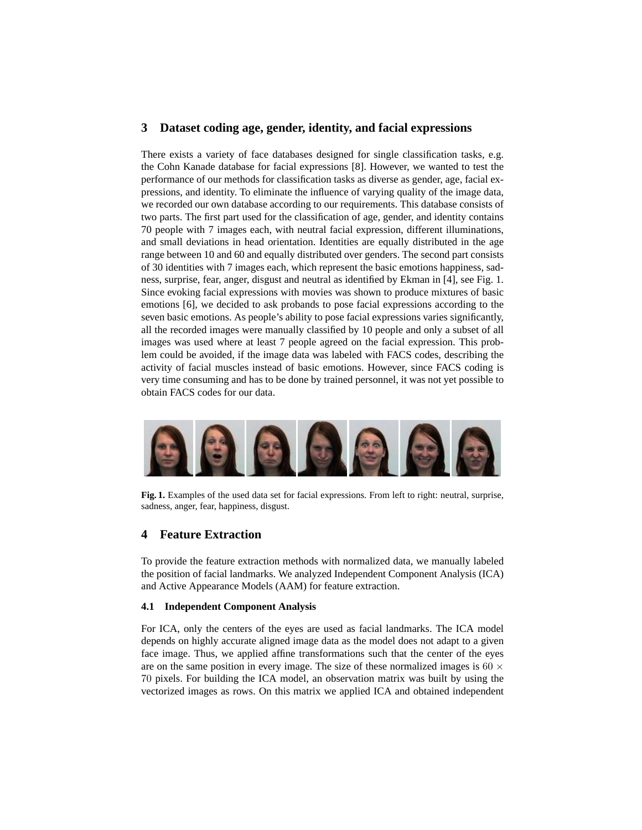# **3 Dataset coding age, gender, identity, and facial expressions**

There exists a variety of face databases designed for single classification tasks, e.g. the Cohn Kanade database for facial expressions [8]. However, we wanted to test the performance of our methods for classification tasks as diverse as gender, age, facial expressions, and identity. To eliminate the influence of varying quality of the image data, we recorded our own database according to our requirements. This database consists of two parts. The first part used for the classification of age, gender, and identity contains 70 people with 7 images each, with neutral facial expression, different illuminations, and small deviations in head orientation. Identities are equally distributed in the age range between 10 and 60 and equally distributed over genders. The second part consists of 30 identities with 7 images each, which represent the basic emotions happiness, sadness, surprise, fear, anger, disgust and neutral as identified by Ekman in [4], see Fig. 1. Since evoking facial expressions with movies was shown to produce mixtures of basic emotions [6], we decided to ask probands to pose facial expressions according to the seven basic emotions. As people's ability to pose facial expressions varies significantly, all the recorded images were manually classified by 10 people and only a subset of all images was used where at least 7 people agreed on the facial expression. This problem could be avoided, if the image data was labeled with FACS codes, describing the activity of facial muscles instead of basic emotions. However, since FACS coding is very time consuming and has to be done by trained personnel, it was not yet possible to obtain FACS codes for our data.



**Fig. 1.** Examples of the used data set for facial expressions. From left to right: neutral, surprise, sadness, anger, fear, happiness, disgust.

# **4 Feature Extraction**

To provide the feature extraction methods with normalized data, we manually labeled the position of facial landmarks. We analyzed Independent Component Analysis (ICA) and Active Appearance Models (AAM) for feature extraction.

#### **4.1 Independent Component Analysis**

For ICA, only the centers of the eyes are used as facial landmarks. The ICA model depends on highly accurate aligned image data as the model does not adapt to a given face image. Thus, we applied affine transformations such that the center of the eyes are on the same position in every image. The size of these normalized images is 60  $\times$ 70 pixels. For building the ICA model, an observation matrix was built by using the vectorized images as rows. On this matrix we applied ICA and obtained independent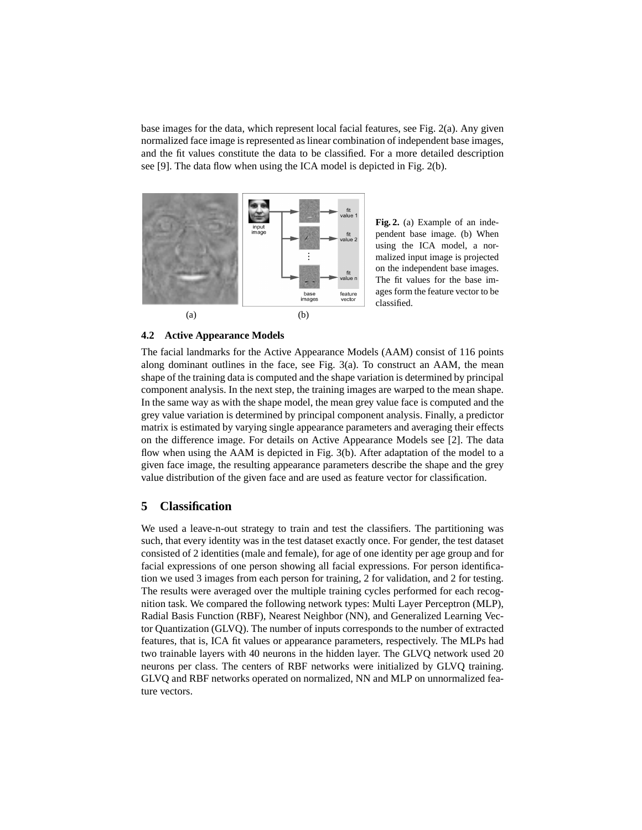base images for the data, which represent local facial features, see Fig. 2(a). Any given normalized face image is represented as linear combination of independent base images, and the fit values constitute the data to be classified. For a more detailed description see [9]. The data flow when using the ICA model is depicted in Fig. 2(b).



**Fig. 2.** (a) Example of an independent base image. (b) When using the ICA model, a normalized input image is projected on the independent base images. The fit values for the base images form the feature vector to be classified.

#### **4.2 Active Appearance Models**

The facial landmarks for the Active Appearance Models (AAM) consist of 116 points along dominant outlines in the face, see Fig.  $3(a)$ . To construct an AAM, the mean shape of the training data is computed and the shape variation is determined by principal component analysis. In the next step, the training images are warped to the mean shape. In the same way as with the shape model, the mean grey value face is computed and the grey value variation is determined by principal component analysis. Finally, a predictor matrix is estimated by varying single appearance parameters and averaging their effects on the difference image. For details on Active Appearance Models see [2]. The data flow when using the AAM is depicted in Fig. 3(b). After adaptation of the model to a given face image, the resulting appearance parameters describe the shape and the grey value distribution of the given face and are used as feature vector for classification.

## **5 Classification**

We used a leave-n-out strategy to train and test the classifiers. The partitioning was such, that every identity was in the test dataset exactly once. For gender, the test dataset consisted of 2 identities (male and female), for age of one identity per age group and for facial expressions of one person showing all facial expressions. For person identification we used 3 images from each person for training, 2 for validation, and 2 for testing. The results were averaged over the multiple training cycles performed for each recognition task. We compared the following network types: Multi Layer Perceptron (MLP), Radial Basis Function (RBF), Nearest Neighbor (NN), and Generalized Learning Vector Quantization (GLVQ). The number of inputs corresponds to the number of extracted features, that is, ICA fit values or appearance parameters, respectively. The MLPs had two trainable layers with 40 neurons in the hidden layer. The GLVQ network used 20 neurons per class. The centers of RBF networks were initialized by GLVQ training. GLVQ and RBF networks operated on normalized, NN and MLP on unnormalized feature vectors.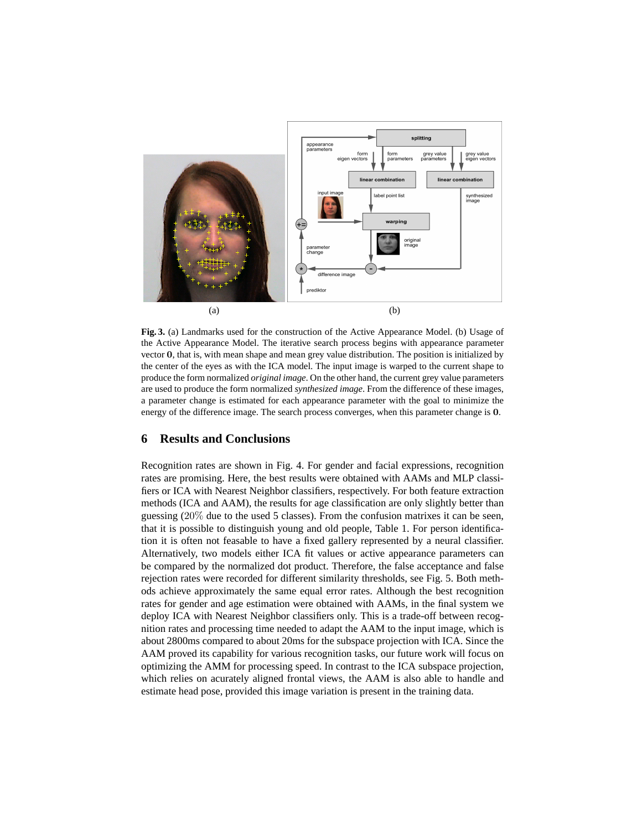

**Fig. 3.** (a) Landmarks used for the construction of the Active Appearance Model. (b) Usage of the Active Appearance Model. The iterative search process begins with appearance parameter vector 0, that is, with mean shape and mean grey value distribution. The position is initialized by the center of the eyes as with the ICA model. The input image is warped to the current shape to produce the form normalized *original image*. On the other hand, the current grey value parameters are used to produce the form normalized *synthesized image*. From the difference of these images, a parameter change is estimated for each appearance parameter with the goal to minimize the energy of the difference image. The search process converges, when this parameter change is 0.

## **6 Results and Conclusions**

Recognition rates are shown in Fig. 4. For gender and facial expressions, recognition rates are promising. Here, the best results were obtained with AAMs and MLP classifiers or ICA with Nearest Neighbor classifiers, respectively. For both feature extraction methods (ICA and AAM), the results for age classification are only slightly better than guessing (20% due to the used 5 classes). From the confusion matrixes it can be seen, that it is possible to distinguish young and old people, Table 1. For person identification it is often not feasable to have a fixed gallery represented by a neural classifier. Alternatively, two models either ICA fit values or active appearance parameters can be compared by the normalized dot product. Therefore, the false acceptance and false rejection rates were recorded for different similarity thresholds, see Fig. 5. Both methods achieve approximately the same equal error rates. Although the best recognition rates for gender and age estimation were obtained with AAMs, in the final system we deploy ICA with Nearest Neighbor classifiers only. This is a trade-off between recognition rates and processing time needed to adapt the AAM to the input image, which is about 2800ms compared to about 20ms for the subspace projection with ICA. Since the AAM proved its capability for various recognition tasks, our future work will focus on optimizing the AMM for processing speed. In contrast to the ICA subspace projection, which relies on acurately aligned frontal views, the AAM is also able to handle and estimate head pose, provided this image variation is present in the training data.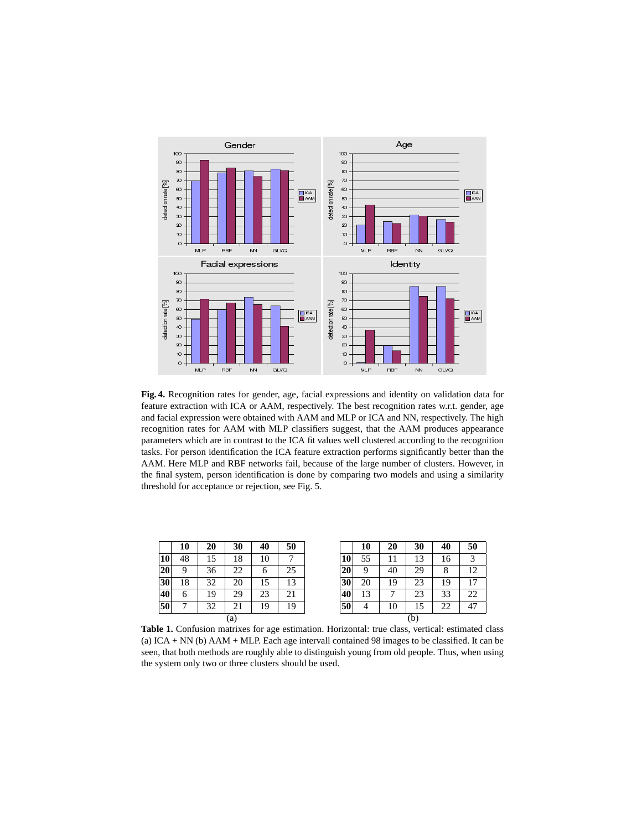

**Fig. 4.** Recognition rates for gender, age, facial expressions and identity on validation data for feature extraction with ICA or AAM, respectively. The best recognition rates w.r.t. gender, age and facial expression were obtained with AAM and MLP or ICA and NN, respectively. The high recognition rates for AAM with MLP classifiers suggest, that the AAM produces appearance parameters which are in contrast to the ICA fit values well clustered according to the recognition tasks. For person identification the ICA feature extraction performs significantly better than the AAM. Here MLP and RBF networks fail, because of the large number of clusters. However, in the final system, person identification is done by comparing two models and using a similarity threshold for acceptance or rejection, see Fig. 5.

|     | 10             | 20 | 30 | 40 | 50 |    | 10  | 20 | 30 | 40 | 50 |  |
|-----|----------------|----|----|----|----|----|-----|----|----|----|----|--|
| 10  | 48             | 15 | 18 | 10 | −  | 10 | 55  |    | 13 | 16 | 3  |  |
| 20  | 9              | 36 | 22 | O  | 25 | 20 | 9   | 40 | 29 | 8  | '2 |  |
| 30  | 18             | 32 | 20 | 15 | 13 | 30 | 20  | 19 | 23 | 19 | 17 |  |
| 40  | 6              | 19 | 29 | 23 | 21 | 40 | 13  | −  | 23 | 33 | 22 |  |
| 50  | $\overline{ }$ | 32 | 21 | 19 | 19 | 50 | 4   | 10 | 15 | 22 | 47 |  |
| (a) |                |    |    |    |    |    | (b) |    |    |    |    |  |

**Table 1.** Confusion matrixes for age estimation. Horizontal: true class, vertical: estimated class (a)  $ICA + NN$  (b)  $AAM + MLP$ . Each age intervall contained 98 images to be classified. It can be seen, that both methods are roughly able to distinguish young from old people. Thus, when using the system only two or three clusters should be used.